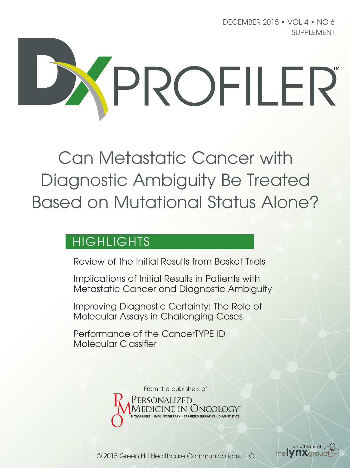DECEMBER 2015 • VOL 4 • NO 6 SUPPLEMENT



Can Metastatic Cancer with Diagnostic Ambiguity Be Treated Based on Mutational Status Alone?

## HIGHLIGHTS

Review of the Initial Results from Basket Trials

Implications of Initial Results in Patients with Metastatic Cancer and Diagnostic Ambiguity

Improving Diagnostic Certainty: The Role of Molecular Assays in Challenging Cases

Performance of the CancerTYPE ID Molecular Classifier

From the publishers of

'ersonalized



© 2015 Green Hill Healthcare Communications, LLC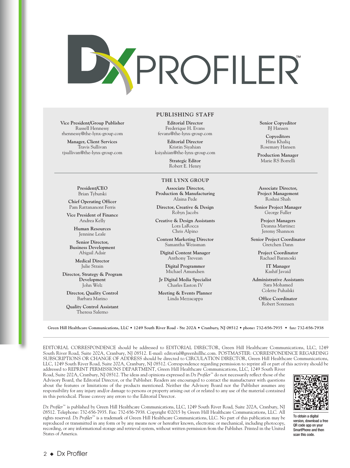

**Vice President/Group Publisher** Russell Hennessy

**Manager, Client Services** Travis Sullivan tjsullivan@the-lynx-group.com

**President/CEO** Brian Tyburski **Chief Operating Officer** Pam Rattananont Ferris **Vice President of Finance** Andrea Kelly **Human Resources** Jennine Leale **Senior Director, Business Development** Abigail Adair **Medical Director** Julie Strain **Director, Strategy & Program Development** John Welz **Director, Quality Control** Barbara Marino **Quality Control Assistant** Theresa Salerno

rhennessy@the-lynx-group.com

**PUBLISHING STAFF**

**Editorial Director** Frederique H. Evans fevans@the-lynx-group.com

**Editorial Director** Kristin Siyahian ksiyahian@the-lynx-group.com

> **Strategic Editor** Robert E. Henry

#### **THE LYNX GROUP**

**Associate Director, Production & Manufacturing** Alaina Pede

**Director, Creative & Design** Robyn Jacobs

**Creative & Design Assistants** Lora LaRocca Chris Alpino

**Content Marketing Director** Samantha Weissman

**Digital Content Manager** Anthony Trevean

**Digital Programmer** Michael Amundsen

**Jr Digital Media Specialist** Charles Easton IV

**Meeting & Events Planner** Linda Mezzacappa

**Senior Copyeditor** BJ Hansen

**Copyeditors** Hina Khaliq Rosemary Hansen

**Production Manager** Marie RS Borrelli

**Associate Director, Project Management** Roshni Shah

**Senior Project Manager** George Fuller

**Project Managers** Deanna Martinez Jeremy Shannon

**Senior Project Coordinator** Gretchen Dann

> **Project Coordinator** Rachael Baranoski

> > **IT Manager** Kashif Javaid

**Administrative Assistants** Sara Mohamed Colette Puhalski

> **Office Coordinator** Robert Sorensen

**Green Hill Healthcare Communications, LLC • 1249 South River Road - Ste 202A • Cranbury, NJ 08512 • phone: 732-656-7935 • fax: 732-656-7938**

EDITORIAL CORRESPONDENCE should be addressed to EDITORIAL DIRECTOR, Green Hill Healthcare Communications, LLC, 1249 South River Road, Suite 202A, Cranbury, NJ 08512. E-mail: editorial@greenhillhc.com. POSTMASTER: CORRESPONDENCE REGARDING SUBSCRIPTIONS OR CHANGE OF ADDRESS should be directed to CIRCULATION DIRECTOR, Green Hill Healthcare Communications, LLC, 1249 South River Road, Suite 202A, Cranbury, NJ 08512. Correspondence regarding permission to reprint all or part of this activity should be addressed to REPRINT PERMISSIONS DEPARTMENT, Green Hill Healthcare Communications, LLC, 1249 South River

Road, Suite 202A, Cranbury, NJ 08512. The ideas and opinions expressed in *Dx Profiler*™ do not necessarily reflect those of the Advisory Board, the Editorial Director, or the Publisher. Readers are encouraged to contact the manufacturer with questions about the features or limitations of the products mentioned. Neither the Advisory Board nor the Publisher assumes any responsibility for any injury and/or damage to persons or property arising out of or related to any use of the material contained in this periodical. Please convey any errors to the Editorial Director.



To obtain a digital version, download a free QR code app on your SmartPhone and then scan this code.

*Dx Profiler*™ is published by Green Hill Healthcare Communications, LLC, 1249 South River Road, Suite 202A, Cranbury, NJ 08512. Telephone: 732-656-7935. Fax: 732-656-7938. Copyright ©2015 by Green Hill Healthcare Communications, LLC. All rights reserved. *Dx Profiler™* is a trademark of Green Hill Healthcare Communications, LLC. No part of this publication may be reproduced or transmitted in any form or by any means now or hereafter known, electronic or mechanical, including photocopy, recording, or any informational storage and retrieval system, without written permission from the Publisher. Printed in the United States of America.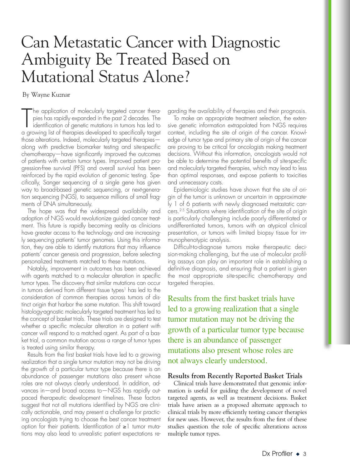# Can Metastatic Cancer with Diagnostic Ambiguity Be Treated Based on Mutational Status Alone?

By Wayne Kuznar

The application of molecularly targeted cancer therapies has rapidly expanded in the past 2 decades. The identification of genetic mutations in tumors has led to a growing list of therapies developed to specifically target he application of molecularly targeted cancer therapies has rapidly expanded in the past 2 decades. The identification of genetic mutations in tumors has led to those alterations. Indeed, molecularly targeted therapies along with predictive biomarker testing and site-specific chemotherapy—have significantly improved the outcomes of patients with certain tumor types. Improved patient progression-free survival (PFS) and overall survival has been reinforced by the rapid evolution of genomic testing. Specifically, Sanger sequencing of a single gene has given way to broad-based genetic sequencing, or next-generation sequencing (NGS), to sequence millions of small fragments of DNA simultaneously.

The hope was that the widespread availability and adoption of NGS would revolutionize guided cancer treatment. This future is rapidly becoming reality as clinicians have greater access to the technology and are increasingly sequencing patients' tumor genomes. Using this information, they are able to identify mutations that may influence patients' cancer genesis and progression, before selecting personalized treatments matched to these mutations.

Notably, improvement in outcomes has been achieved with agents matched to a molecular alteration in specific tumor types. The discovery that similar mutations can occur in tumors derived from different tissue types<sup>1</sup> has led to the consideration of common therapies across tumors of distinct origin that harbor the same mutation. This shift toward histology-agnostic molecularly targeted treatment has led to the concept of basket trials. These trials are designed to test whether a specific molecular alteration in a patient with cancer will respond to a matched agent. As part of a basket trial, a common mutation across a range of tumor types is treated using similar therapy.

Results from the first basket trials have led to a growing realization that a single tumor mutation may not be driving the growth of a particular tumor type because there is an abundance of passenger mutations also present whose roles are not always clearly understood. In addition, advances in—and broad access to—NGS has rapidly outpaced therapeutic development timelines. These factors suggest that not all mutations identified by NGS are clinically actionable, and may present a challenge for practicing oncologists trying to choose the best cancer treatment option for their patients. Identification of ≥1 tumor mutations may also lead to unrealistic patient expectations regarding the availability of therapies and their prognosis.

To make an appropriate treatment selection, the extensive genetic information extrapolated from NGS requires context, including the site of origin of the cancer. Knowledge of tumor type and primary site of origin of the cancer are proving to be critical for oncologists making treatment decisions. Without this information, oncologists would not be able to determine the potential benefits of site-specific and molecularly targeted therapies, which may lead to less than optimal responses, and expose patients to toxicities and unnecessary costs.

Epidemiologic studies have shown that the site of origin of the tumor is unknown or uncertain in approximately 1 of 6 patients with newly diagnosed metastatic cancers.2-5 Situations where identification of the site of origin is particularly challenging include poorly differentiated or undifferentiated tumors, tumors with an atypical clinical presentation, or tumors with limited biopsy tissue for immunophenotypic analysis.

Difficult-to-diagnose tumors make therapeutic decision-making challenging, but the use of molecular profiling assays can play an important role in establishing a definitive diagnosis, and ensuring that a patient is given the most appropriate site-specific chemotherapy and targeted therapies.

Results from the first basket trials have led to a growing realization that a single tumor mutation may not be driving the growth of a particular tumor type because there is an abundance of passenger mutations also present whose roles are not always clearly understood.

#### **Results from Recently Reported Basket Trials**

Clinical trials have demonstrated that genomic information is useful for guiding the development of novel targeted agents, as well as treatment decisions. Basket trials have arisen as a proposed alternate approach to clinical trials by more efficiently testing cancer therapies for new uses. However, the results from the first of these studies question the role of specific alterations across multiple tumor types.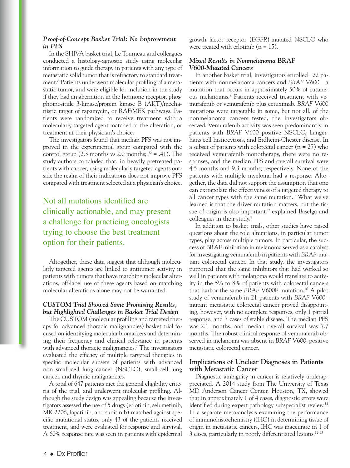#### *Proof-of-Concept Basket Trial: No Improvement in PFS*

In the SHIVA basket trial, Le Tourneau and colleagues conducted a histology-agnostic study using molecular information to guide therapy in patients with any type of metastatic solid tumor that is refractory to standard treatment.6 Patients underwent molecular profiling of a metastatic tumor, and were eligible for inclusion in the study if they had an aberration in the hormone receptor, phosphoinositide 3-kinase/protein kinase B (AKT)/mechanistic target of rapamycin, or RAF/MEK pathways. Patients were randomized to receive treatment with a molecularly targeted agent matched to the alteration, or treatment at their physician's choice.

The investigators found that median PFS was not improved in the experimental group compared with the control group (2.3 months vs 2.0 months; *P* = .41). The study authors concluded that, in heavily pretreated patients with cancer, using molecularly targeted agents outside the realm of their indications does not improve PFS compared with treatment selected at a physician's choice.

## Not all mutations identified are clinically actionable, and may present a challenge for practicing oncologists trying to choose the best treatment option for their patients.

Altogether, these data suggest that although molecularly targeted agents are linked to antitumor activity in patients with tumors that have matching molecular alterations, off-label use of these agents based on matching molecular alterations alone may not be warranted.

#### *CUSTOM Trial Showed Some Promising Results, but Highlighted Challenges in Basket Trial Design*

The CUSTOM (molecular profiling and targeted therapy for advanced thoracic malignancies) basket trial focused on identifying molecular biomarkers and determining their frequency and clinical relevance in patients with advanced thoracic malignancies.<sup>7</sup> The investigators evaluated the efficacy of multiple targeted therapies in specific molecular subsets of patients with advanced non–small-cell lung cancer (NSCLC), small-cell lung cancer, and thymic malignancies.

A total of 647 patients met the general eligibility criteria of the trial, and underwent molecular profiling. Although the study design was appealing because the investigators assessed the use of 5 drugs (erlotinib, selumetinib, MK-2206, lapatinib, and sunitinib) matched against specific mutational status, only 43 of the patients received treatment, and were evaluated for response and survival. A 60% response rate was seen in patients with epidermal growth factor receptor (*EGFR*)-mutated NSCLC who were treated with erlotinib  $(n = 15)$ .

#### *Mixed Results in Nonmelanoma* **BRAF** *V600-Mutated Cancers*

In another basket trial, investigators enrolled 122 patients with nonmelanoma cancers and *BRAF* V600—a mutation that occurs in approximately 50% of cutaneous melanomas.8 Patients received treatment with vemurafenib or vemurafenib plus cetuximab. *BRAF* V600 mutations were targetable in some, but not all, of the nonmelanoma cancers tested, the investigators observed. Vemurafenib activity was seen predominantly in patients with *BRAF* V600–positive NSCLC, Langerhans cell histiocytosis, and Erdheim-Chester disease. In a subset of patients with colorectal cancer  $(n = 27)$  who received vemurafenib monotherapy, there were no responses, and the median PFS and overall survival were 4.5 months and 9.3 months, respectively. None of the patients with multiple myeloma had a response. Altogether, the data did not support the assumption that one can extrapolate the effectiveness of a targeted therapy to all cancer types with the same mutation. "What we've learned is that the driver mutation matters, but the tissue of origin is also important," explained Baselga and colleagues in their study.<sup>9</sup>

In addition to basket trials, other studies have raised questions about the role alterations, in particular tumor types, play across multiple tumors. In particular, the success of BRAF inhibition in melanoma served as a catalyst for investigating vemurafenib in patients with *BRAF*-mutant colorectal cancer. In that study, the investigators purported that the same inhibitors that had worked so well in patients with melanoma would translate to activity in the 5% to 8% of patients with colorectal cancers that harbor the same *BRAF* V600E mutation.10 A pilot study of vemurafenib in 21 patients with *BRAF* V600– mutant metastatic colorectal cancer proved disappointing, however, with no complete responses, only 1 partial response, and 7 cases of stable disease. The median PFS was 2.1 months, and median overall survival was 7.7 months. The robust clinical response of vemurafenib observed in melanoma was absent in *BRAF* V600–positive metastatic colorectal cancer.

#### **Implications of Unclear Diagnoses in Patients with Metastatic Cancer**

Diagnostic ambiguity in cancer is relatively underappreciated. A 2014 study from The University of Texas MD Anderson Cancer Center, Houston, TX, showed that in approximately 1 of 4 cases, diagnostic errors were identified during expert pathology subspecialist review.<sup>11</sup> In a separate meta-analysis examining the performance of immunohistochemistry (IHC) in determining tissue of origin in metastatic cancers, IHC was inaccurate in 1 of 3 cases, particularly in poorly differentiated lesions.12,13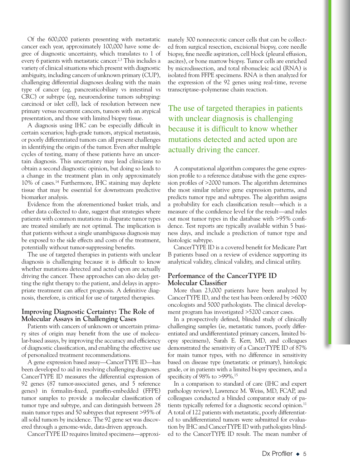Of the 600,000 patients presenting with metastatic cancer each year, approximately 100,000 have some degree of diagnostic uncertainty, which translates to 1 of every 6 patients with metastatic cancer.<sup>2,3</sup> This includes a variety of clinical situations which present with diagnostic ambiguity, including cancers of unknown primary (CUP), challenging differential diagnoses dealing with the main type of cancer (eg, pancreaticobiliary vs intestinal vs CRC) or subtype (eg, neuroendorine tumors subtyping: carcinoid or islet cell), lack of resolution between new primary versus recurrent cancers, tumors with an atypical presentation, and those with limited biopsy tissue.

A diagnosis using IHC can be especially difficult in certain scenarios; high-grade tumors, atypical metastasis, or poorly differentiated tumors can all present challenges in identifying the origin of the tumor. Even after multiple cycles of testing, many of these patients have an uncertain diagnosis. This uncertainty may lead clinicians to obtain a second diagnostic opinion, but doing so leads to a change in the treatment plan in only approximately 10% of cases.14 Furthermore, IHC staining may deplete tissue that may be essential for downstream predictive biomarker analysis.

Evidence from the aforementioned basket trials, and other data collected to date, suggest that strategies where patients with common mutations in disparate tumor types are treated similarly are not optimal. The implication is that patients without a single unambiguous diagnosis may be exposed to the side effects and costs of the treatment, potentially without tumor-suppressing benefits.

The use of targeted therapies in patients with unclear diagnosis is challenging because it is difficult to know whether mutations detected and acted upon are actually driving the cancer. These approaches can also delay getting the right therapy to the patient, and delays in appropriate treatment can affect prognosis. A definitive diagnosis, therefore, is critical for use of targeted therapies.

#### **Improving Diagnostic Certainty: The Role of Molecular Assays in Challenging Cases**

Patients with cancers of unknown or uncertain primary sites of origin may benefit from the use of molecular-based assays, by improving the accuracy and efficiency of diagnostic classification, and enabling the effective use of personalized treatment recommendations.

A gene expression based assay—CancerTYPE ID—has been developed to aid in resolving challenging diagnoses. CancerTYPE ID measures the differential expression of 92 genes (87 tumor-associated genes, and 5 reference genes) in formalin-fixed, paraffin-embedded (FFPE) tumor samples to provide a molecular classification of tumor type and subtype, and can distinguish between 28 main tumor types and 50 subtypes that represent >95% of all solid tumors by incidence. The 92 gene set was discovered through a genome-wide, data-driven approach.

CancerTYPE ID requires limited specimens—approxi-

mately 300 nonnecrotic cancer cells that can be collected from surgical resection, excisional biopsy, core needle biopsy, fine needle aspiration, cell block (pleural effusion, ascites), or bone marrow biopsy. Tumor cells are enriched by microdissection, and total ribonucleic acid (RNA) is isolated from FFPE specimens. RNA is then analyzed for the expression of the 92 genes using real-time, reverse transcriptase–polymerase chain reaction.

The use of targeted therapies in patients with unclear diagnosis is challenging because it is difficult to know whether mutations detected and acted upon are actually driving the cancer.

A computational algorithm compares the gene expression profile to a reference database with the gene expression profiles of >2000 tumors. The algorithm determines the most similar relative gene expression patterns, and predicts tumor type and subtypes. The algorithm assigns a probability for each classification result—which is a measure of the confidence level for the result—and rules out most tumor types in the database with >95% confidence. Test reports are typically available within 5 business days, and include a prediction of tumor type and histologic subtype.

CancerTYPE ID is a covered benefit for Medicare Part B patients based on a review of evidence supporting its analytical validity, clinical validity, and clinical utility.

#### **Performance of the CancerTYPE ID Molecular Classifier**

More than 23,000 patients have been analyzed by CancerTYPE ID, and the test has been ordered by >6000 oncologists and 5000 pathologists. The clinical development program has investigated >5200 cancer cases.

In a prospectively defined, blinded study of clinically challenging samples (ie, metastatic tumors, poorly differentiated and undifferentiated primary cancers, limited biopsy specimens), Sarah E. Kerr, MD, and colleagues demonstrated the sensitivity of a CancerTYPE ID of 87% for main tumor types, with no difference in sensitivity based on disease type (metastatic or primary), histologic grade, or in patients with a limited biopsy specimen, and a specificity of 98% to >99%.<sup>15</sup>

In a comparison to standard of care (IHC and expert pathology review), Lawrence M. Weiss, MD, FCAP, and colleagues conducted a blinded comparator study of patients typically referred for a diagnostic second opinion.<sup>11</sup> A total of 122 patients with metastatic, poorly differentiated to undifferentiated tumors were submitted for evaluation by IHC and CancerTYPE ID with pathologists blinded to the CancerTYPE ID result. The mean number of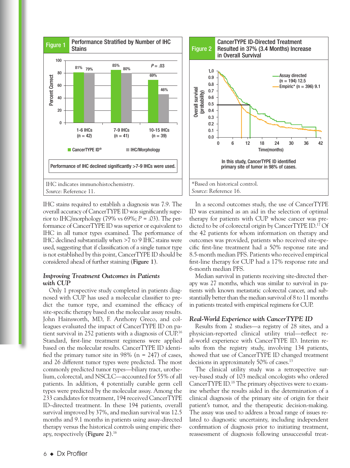

IHC stains required to establish a diagnosis was 7.9. The overall accuracy of CancerTYPE ID was significantly superior to IHC/morphology (79% vs 69%; *P* = .03). The performance of CancerTYPE ID was superior or equivalent to IHC in all tumor types examined. The performance of IHC declined substantially when >7 to 9 IHC stains were used, suggesting that if classification of a single tumor type is not established by this point, CancerTYPE ID should be considered ahead of further staining (**Figure 1**).

#### *Improving Treatment Outcomes in Patients with CUP*

Only 1 prospective study completed in patients diagnosed with CUP has used a molecular classifier to predict the tumor type, and examined the efficacy of site-specific therapy based on the molecular assay results. John Hainsworth, MD, F. Anthony Greco, and colleagues evaluated the impact of CancerTYPE ID on patient survival in 252 patients with a diagnosis of CUP.16 Standard, first-line treatment regimens were applied based on the molecular results. CancerTYPE ID identified the primary tumor site in 98% ( $n = 247$ ) of cases, and 26 different tumor types were predicted. The most commonly predicted tumor types—biliary tract, urothelium, colorectal, and NSCLC—accounted for 55% of all patients. In addition, 4 potentially curable germ cell types were predicted by the molecular assay. Among the 233 candidates for treatment, 194 received CancerTYPE ID–directed treatment. In these 194 patients, overall survival improved by 37%, and median survival was 12.5 months and 9.1 months in patients using assay-directed therapy versus the historical controls using empiric therapy, respectively (**Figure 2**).16



In a second outcomes study, the use of CancerTYPE ID was examined as an aid in the selection of optimal therapy for patients with CUP whose cancer was predicted to be of colorectal origin by CancerTYPE ID.17 Of the 42 patients for whom information on therapy and outcomes was provided, patients who received site-specific first-line treatment had a 50% response rate and 8.5-month median PFS. Patients who received empirical first-line therapy for CUP had a 17% response rate and 6-month median PFS.

Median survival in patients receiving site-directed therapy was 27 months, which was similar to survival in patients with known metastatic colorectal cancer, and substantially better than the median survival of 8 to 11 months in patients treated with empirical regimens for CUP.

#### *Real-World Experience with CancerTYPE ID*

Results from 2 studies—a registry of 28 sites, and a physician-reported clinical utility trial—reflect real-world experience with CancerTYPE ID. Interim results from the registry study, involving 134 patients, showed that use of CancerTYPE ID changed treatment decisions in approximately 50% of cases.<sup>13</sup>

The clinical utility study was a retrospective survey-based study of 103 medical oncologists who ordered CancerTYPE ID.18 The primary objectives were to examine whether the results aided in the determination of a clinical diagnosis of the primary site of origin for their patient's tumor, and the therapeutic decision-making. The assay was used to address a broad range of issues related to diagnostic uncertainty, including independent confirmation of diagnosis prior to initiating treatment, reassessment of diagnosis following unsuccessful treat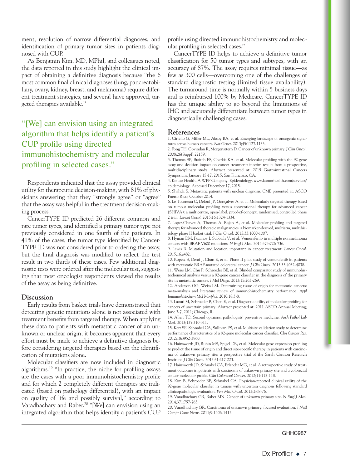ment, resolution of narrow differential diagnoses, and identification of primary tumor sites in patients diagnosed with CUP.

As Benjamin Kim, MD, MPhil, and colleagues noted, the data reported in this study highlight the clinical impact of obtaining a definitive diagnosis because "the 6 most common final clinical diagnoses (lung, pancreatobiliary, ovary, kidney, breast, and melanoma) require different treatment strategies, and several have approved, targeted therapies available."

"[We] can envision using an integrated algorithm that helps identify a patient's CUP profile using directed immunohistochemistry and molecular profiling in selected cases."

Respondents indicated that the assay provided clinical utility for therapeutic decision-making, with 81% of physicians answering that they "strongly agree" or "agree" that the assay was helpful in the treatment decision-making process.

CancerTYPE ID predicted 26 different common and rare tumor types, and identified a primary tumor type not previously considered in one fourth of the patients. In 41% of the cases, the tumor type identified by Cancer-TYPE ID was not considered prior to ordering the assay, but the final diagnosis was modified to reflect the test result in two thirds of these cases. Few additional diagnostic tests were ordered after the molecular test, suggesting that most oncologist respondents viewed the results of the assay as being definitive.

#### **Discussion**

Early results from basket trials have demonstrated that detecting genetic mutations alone is not associated with treatment benefits from targeted therapy. When applying these data to patients with metastatic cancer of an unknown or unclear origin, it becomes apparent that every effort must be made to achieve a definitive diagnosis before considering targeted therapies based on the identification of mutations alone.

Molecular classifiers are now included in diagnostic algorithms.19 "In practice, the niche for profiling assays are the cases with a poor immunohistochemistry profile and for which 2 completely different therapies are indicated (based on pathology differential), with an impact on quality of life and possibly survival," according to Varadhachary and Raber.<sup>20</sup> "[We] can envision using an integrated algorithm that helps identify a patient's CUP profile using directed immunohistochemistry and molecular profiling in selected cases."

CancerTYPE ID helps to achieve a definitive tumor classification for 50 tumor types and subtypes, with an accuracy of 87%. The assay requires minimal tissue—as few as 300 cells—overcoming one of the challenges of standard diagnostic testing (limited tissue availability). The turnaround time is normally within 5 business days and is reimbursed 100% by Medicare. CancerTYPE ID has the unique ability to go beyond the limitations of IHC and accurately differentiate between tumor types in diagnostically challenging cases.

#### **References**

1. Ciriello G, Miller ML, Aksoy BA, et al. Emerging landscape of oncogenic signatures across human cancers. *Nat Genet*. 2013;45:1127-1133.

2. Fong TH, Govindan R, Morgensztern D. Cancer of unknown primary. *J Clin Oncol.* 2008;26(Suppl):22159.

3. Thomas SP, Braiteh FS, Cherkis KA, et al. Molecular profiling with the 92-gene assay and decision-impact on cancer treatment: interim results from a prospective, multidisciplinary study. Abstract presented at: 2015 Gastrointestinal Cancers Symposium; January 15-17, 2015; San Francisco, CA.

4. Kantar Health, A WPP Company. Epidemiology. www.kantarhealth.com/services/ epidemiology. Accessed December 17, 2015.

5. Shahda S. Metastatic patients with unclear diagnosis. CME presented at: ASCO Puerto Rico; October 2014.

6. Le Tourneau C, Delord JP, Gonçalves A, et al. Molecularly targeted therapy based on tumour molecular profiling versus conventional therapy for advanced cancer (SHIVA): a multicentre, open-label, proof-of-concept, randomised, controlled phase 2 trial. *Lancet Oncol*. 2015;16:1324-1334.

7. Lopez-Chavez A, Thomas A, Rajan A, et al. Molecular profiling and targeted therapy for advanced thoracic malignancies: a biomarker-derived, multiarm, multihistology phase II basket trial. *J Clin Oncol.* 2015;33:1000-1007.

8. Hyman DM, Puzanov I, Subbiah V, et al. Vemurafenib in multiple nonmelanoma cancers with BRAF V600 mutations. *N Engl J Med*. 2015;373:726-736.

9. Lewis R. Mutation and location important in cancer treatment. *Lancet Oncol*. 2015;16:e482.

10. Kopetz S, Desai J, Chan E, et al. Phase II pilot study of vemurafenib in patients with metastatic BRAF-mutated colorectal cancer. *J Clin Oncol*. 2015;33:4032-4038.

11. Weiss LM, Chu P, Schroeder BE, et al. Blinded comparator study of immunohistochemical analysis versus a 92-gene cancer classifier in the diagnosis of the primary site in metastatic tumors. *J Mol Diagn*. 2013;15:263-269.

12. Anderson GG, Weiss LM. Determining tissue of origin for metastatic cancers: meta-analysis and literature review of immunohistochemistry performance. *Appl Immunohistochem Mol Morphol*. 2010;18:3-8.

13. Laouri M, Schroeder B, Chen E, et al. Diagnostic utility of molecular profiling for cancers of uncertain primary. Abstract presented at: 2011 ASCO Annual Meeting; June 3-7, 2011; Chicago, IL.

14. Allen TC. Second opinions: pathologists' preventive medicine. *Arch Pathol Lab Med.* 2013;137:310-311.

15. Kerr SE, Schnabel CA, Sullivan PS, et al. Multisite validation study to determine performance characteristics of a 92-gene molecular cancer classifier. *Clin Cancer Res*. 2012;18:3952-3960.

16. Hainsworth JD, Rubin MS, Spigel DR, et al. Molecular gene expression profiling to predict the tissue of origin and direct site-specific therapy in patients with carcinoma of unknown primary site: a prospective trial of the Sarah Cannon Research Institute. *J Clin Oncol*. 2013;31:217-223.

17. Hainsworth JD, Schnabel CA, Erlander MG, et al. A retrospective study of treatment outcomes in patients with carcinoma of unknown primary site and a colorectal cancer molecular profile. *Clin Colorectal Cancer*. 2012;11:112-118.

18. Kim B, Schroeder BE, Schnabel CA. Physician-reported clinical utility of the 92-gene molecular classifier in tumors with uncertain diagnosis following standard clinicopathologic evaluation. *Pers Med Oncol.* 2013;2:68-76.

19. Varadhachary GR, Raber MN. Cancer of unknown primary site. *N Engl J Med.*  2014;371:757-765.

20. Varadhachary GR. Carcinoma of unknown primary: focused evaluation. *J Natl Compr Canc Netw*. 2011;9:1406-1412.

#### GHHC987